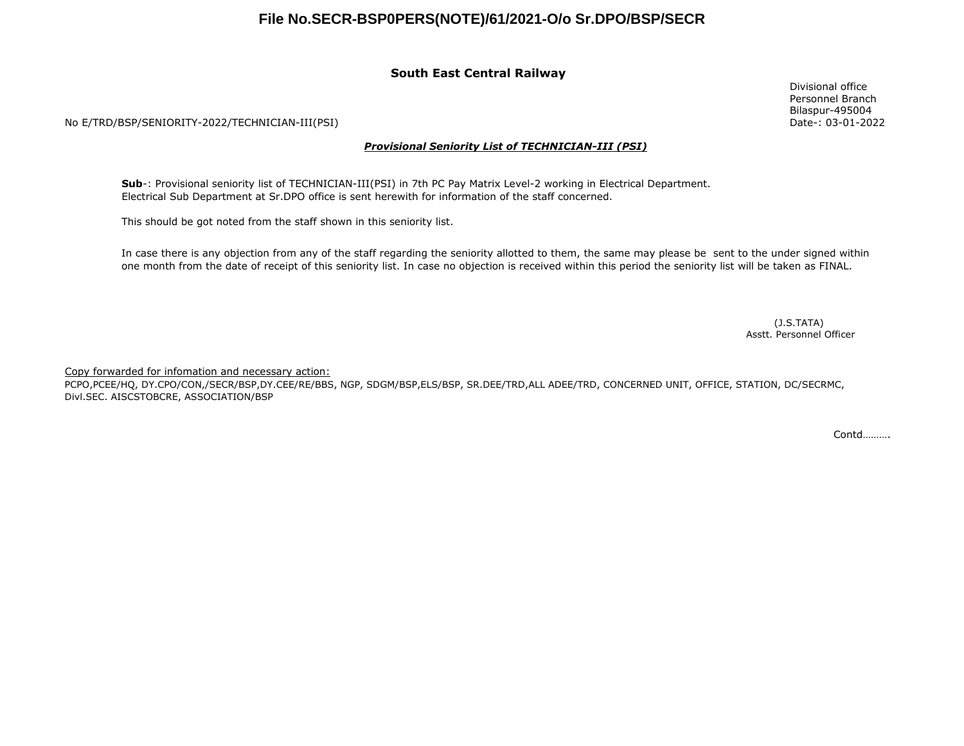## **File No.SECR-BSP0PERS(NOTE)/61/2021-O/o Sr.DPO/BSP/SECR**

### **South East Central Railway**

No E/TRD/BSP/SENIORITY-2022/TECHNICIAN-III(PSI)

#### *Provisional Seniority List of TECHNICIAN-III (PSI)*

**Sub**-: Provisional seniority list of TECHNICIAN-III(PSI) in 7th PC Pay Matrix Level-2 working in Electrical Department. Electrical Sub Department at Sr.DPO office is sent herewith for information of the staff concerned.

This should be got noted from the staff shown in this seniority list.

In case there is any objection from any of the staff regarding the seniority allotted to them, the same may please be sent to the under signed within one month from the date of receipt of this seniority list. In case no objection is received within this period the seniority list will be taken as FINAL.

> Asstt. Personnel Officer (J.S.TATA)

Copy forwarded for infomation and necessary action:

PCPO,PCEE/HQ, DY.CPO/CON,/SECR/BSP,DY.CEE/RE/BBS, NGP, SDGM/BSP,ELS/BSP, SR.DEE/TRD,ALL ADEE/TRD, CONCERNED UNIT, OFFICE, STATION, DC/SECRMC, Divl.SEC. AISCSTOBCRE, ASSOCIATION/BSP

Contd……….

Divisional office Personnel Branch Bilaspur-495004 Date-: 03-01-2022